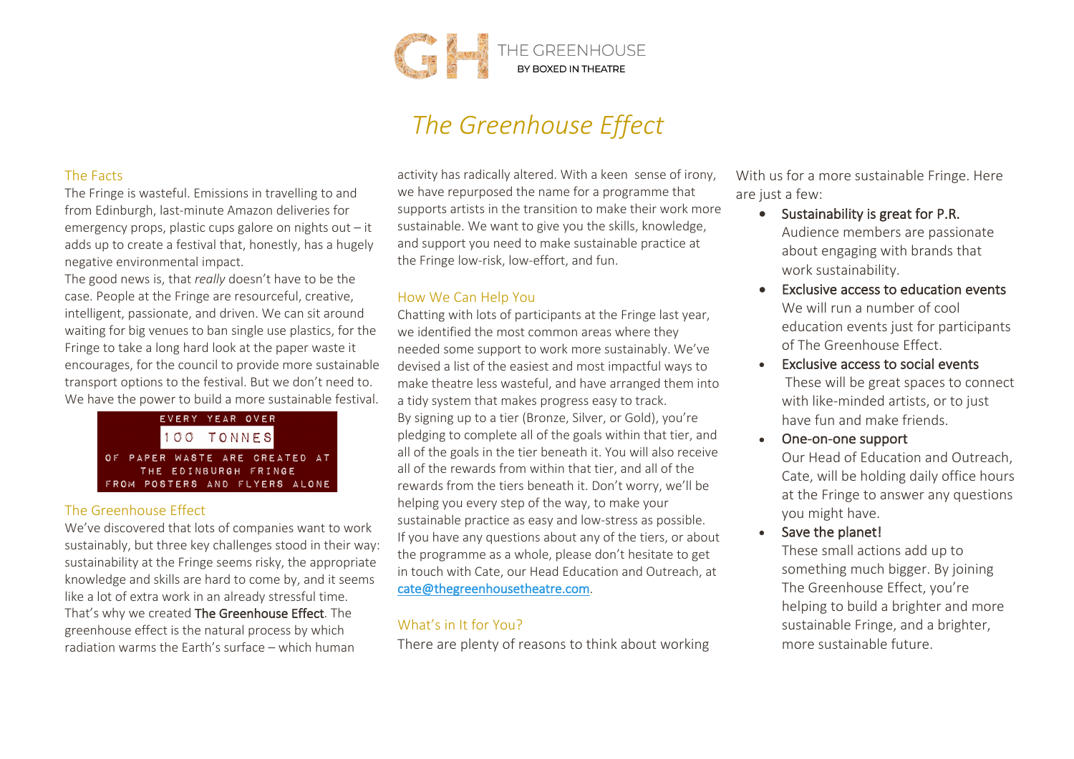

# *The Greenhouse Effect*

#### The Facts

The Fringe is wasteful. Emissions in travelling to and from Edinburgh, last-minute Amazon deliveries for emergency props, plastic cups galore on nights out – it adds up to create a festival that, honestly, has a hugely negative environmental impact.

The good news is, that *really* doesn't have to be the case. People at the Fringe are resourceful, creative, intelligent, passionate, and driven. We can sit around waiting for big venues to ban single use plastics, for the Fringe to take a long hard look at the paper waste it encourages, for the council to provide more sustainable transport options to the festival. But we don't need to. We have the power to build a more sustainable festival.



# The Greenhouse Effect

We've discovered that lots of companies want to work sustainably, but three key challenges stood in their way: sustainability at the Fringe seems risky, the appropriate knowledge and skills are hard to come by, and it seems like a lot of extra work in an already stressful time. That's why we created The Greenhouse Effect. The greenhouse effect is the natural process by which radiation warms the Earth's surface – which human

activity has radically altered. With a keen sense of irony, we have repurposed the name for a programme that supports artists in the transition to make their work more sustainable. We want to give you the skills, knowledge, and support you need to make sustainable practice at the Fringe low-risk, low-effort, and fun.

# How We Can Help You

Chatting with lots of participants at the Fringe last year, we identified the most common areas where they needed some support to work more sustainably. We've devised a list of the easiest and most impactful ways to make theatre less wasteful, and have arranged them into a tidy system that makes progress easy to track. By signing up to a tier (Bronze, Silver, or Gold), you're pledging to complete all of the goals within that tier, and all of the goals in the tier beneath it. You will also receive all of the rewards from within that tier, and all of the rewards from the tiers beneath it. Don't worry, we'll be helping you every step of the way, to make your sustainable practice as easy and low-stress as possible. If you have any questions about any of the tiers, or about the programme as a whole, please don't hesitate to get in touch with Cate, our Head Education and Outreach, at cate@thegreenhousetheatre.com.

# What's in It for You?

There are plenty of reasons to think about working

With us for a more sustainable Fringe. Here are just a few:

- Sustainability is great for P.R. Audience members are passionate about engaging with brands that work sustainability.
- Exclusive access to education events We will run a number of cool education events just for participants of The Greenhouse Effect.
- Exclusive access to social events These will be great spaces to connect with like-minded artists, or to just have fun and make friends.
- One-on-one support Our Head of Education and Outreach, Cate, will be holding daily office hours
- at the Fringe to answer any questions you might have. • Save the planet!

These small actions add up to something much bigger. By joining The Greenhouse Effect, you're helping to build a brighter and more sustainable Fringe, and a brighter, more sustainable future.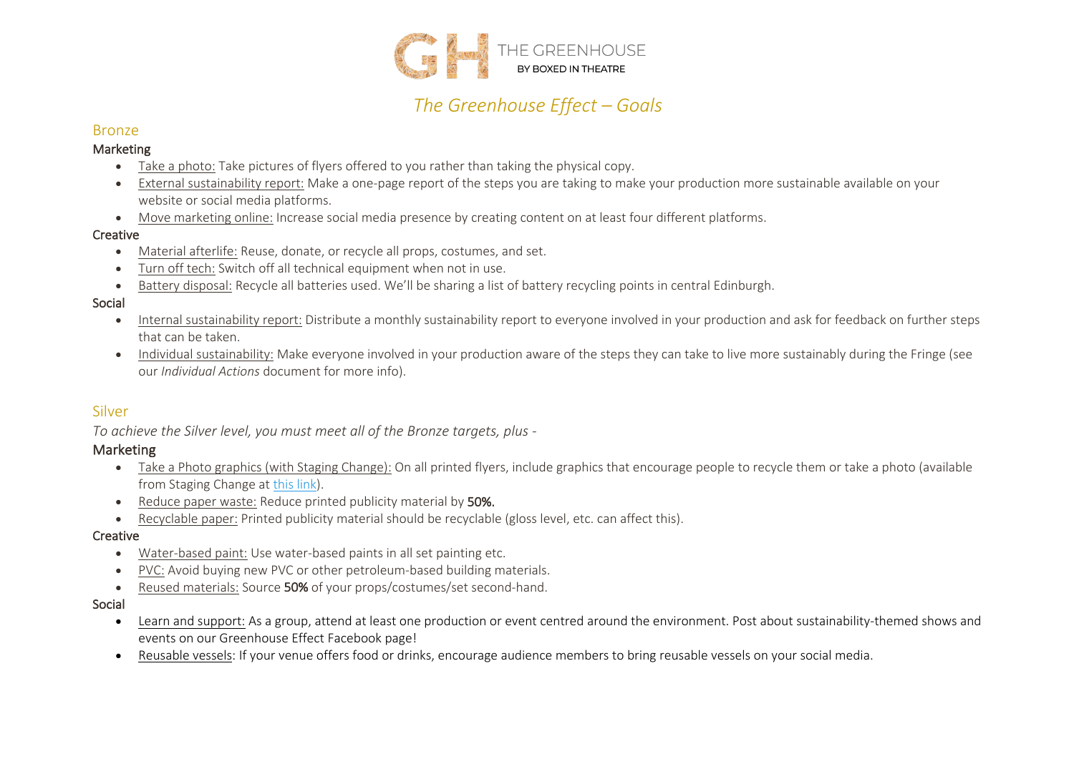

# *The Greenhouse Effect – Goals*

# Bronze

#### Marketing

- Take a photo: Take pictures of flyers offered to you rather than taking the physical copy.
- External sustainability report: Make a one-page report of the steps you are taking to make your production more sustainable available on your website or social media platforms.
- Move marketing online: Increase social media presence by creating content on at least four different platforms.

#### Creative

- Material afterlife: Reuse, donate, or recycle all props, costumes, and set.
- Turn off tech: Switch off all technical equipment when not in use.
- Battery disposal: Recycle all batteries used. We'll be sharing a list of battery recycling points in central Edinburgh.

#### Social

- Internal sustainability report: Distribute a monthly sustainability report to everyone involved in your production and ask for feedback on further steps that can be taken.
- Individual sustainability: Make everyone involved in your production aware of the steps they can take to live more sustainably during the Fringe (see our *Individual Actions* document for more info).

# Silver

*To achieve the Silver level, you must meet all of the Bronze targets, plus -*

# Marketing

- Take a Photo graphics (with Staging Change): On all printed flyers, include graphics that encourage people to recycle them or take a photo (available from Staging Change at this link).
- Reduce paper waste: Reduce printed publicity material by 50%.
- Recyclable paper: Printed publicity material should be recyclable (gloss level, etc. can affect this).

#### **Creative**

- Water-based paint: Use water-based paints in all set painting etc.
- PVC: Avoid buying new PVC or other petroleum-based building materials.
- Reused materials: Source 50% of your props/costumes/set second-hand.

#### Social

- Learn and support: As a group, attend at least one production or event centred around the environment. Post about sustainability-themed shows and events on our Greenhouse Effect Facebook page!
- Reusable vessels: If your venue offers food or drinks, encourage audience members to bring reusable vessels on your social media.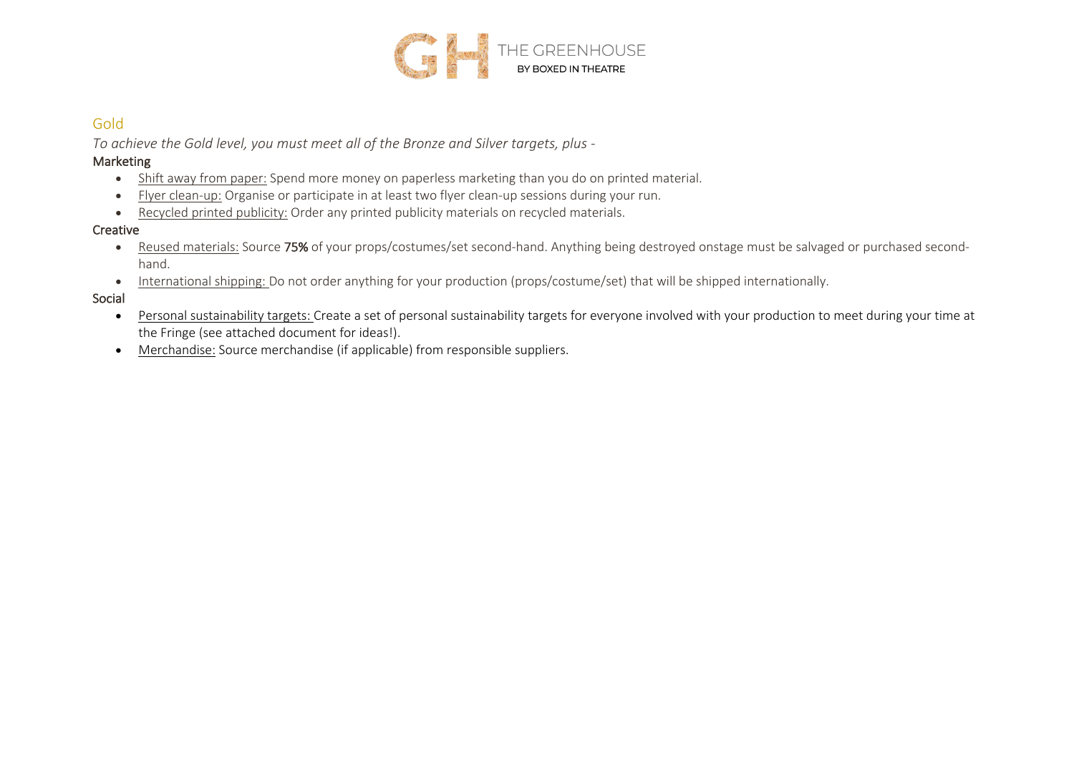

# Gold

*To achieve the Gold level, you must meet all of the Bronze and Silver targets, plus -*

#### Marketing

- Shift away from paper: Spend more money on paperless marketing than you do on printed material.
- Flyer clean-up: Organise or participate in at least two flyer clean-up sessions during your run.
- Recycled printed publicity: Order any printed publicity materials on recycled materials.

# Creative

- Reused materials: Source 75% of your props/costumes/set second-hand. Anything being destroyed onstage must be salvaged or purchased secondhand.
- International shipping: Do not order anything for your production (props/costume/set) that will be shipped internationally.

# Social

- Personal sustainability targets: Create a set of personal sustainability targets for everyone involved with your production to meet during your time at the Fringe (see attached document for ideas!).
- Merchandise: Source merchandise (if applicable) from responsible suppliers.